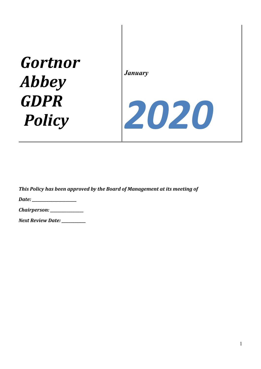## *Gortnor Abbey GDPR Policy*

*January*

# *2020*

This Policy has been approved by the Board of Management at its meeting of

*Date:* 

| Chairperson: |  |
|--------------|--|
|--------------|--|

*Next Review Date:*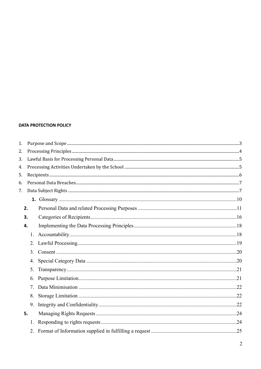#### **DATA PROTECTION POLICY**

| 1. |    |  |  |  |  |
|----|----|--|--|--|--|
| 2. |    |  |  |  |  |
| 3. |    |  |  |  |  |
| 4. |    |  |  |  |  |
| 5. |    |  |  |  |  |
| 6. |    |  |  |  |  |
| 7. |    |  |  |  |  |
|    |    |  |  |  |  |
|    | 2. |  |  |  |  |
|    | 3. |  |  |  |  |
|    | 4. |  |  |  |  |
|    | 1. |  |  |  |  |
|    |    |  |  |  |  |
|    | 3. |  |  |  |  |
|    | 4. |  |  |  |  |
|    | 5. |  |  |  |  |
|    | 6. |  |  |  |  |
|    | 7. |  |  |  |  |
|    | 8. |  |  |  |  |
|    | 9. |  |  |  |  |
|    | 5. |  |  |  |  |
|    | 1. |  |  |  |  |
|    |    |  |  |  |  |
|    |    |  |  |  |  |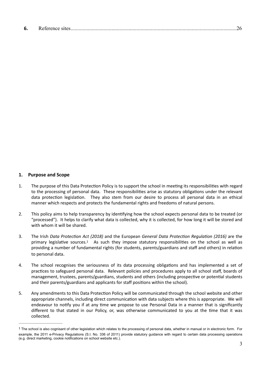| ь. |  |  |  |
|----|--|--|--|
|----|--|--|--|

#### <span id="page-2-0"></span>**1. Purpose and Scope**

- 1. The purpose of this Data Protection Policy is to support the school in meeting its responsibilities with regard to the processing of personal data. These responsibilities arise as statutory obligations under the relevant data protection legislation. They also stem from our desire to process all personal data in an ethical manner which respects and protects the fundamental rights and freedoms of natural persons.
- 2. This policy aims to help transparency by identifying how the school expects personal data to be treated (or "processed"). It helps to clarify what data is collected, why it is collected, for how long it will be stored and with whom it will be shared.
- <span id="page-2-2"></span>3. The Irish Data Protection Act (2018) and the European *General Data Protection Regulation (2016)* are the primary legislative sources[.](#page-2-1) $1$  As such they impose statutory responsibilities on the school as well as providing a number of fundamental rights (for students, parents/guardians and staff and others) in relation to personal data.
- 4. The school recognises the seriousness of its data processing obligations and has implemented a set of practices to safeguard personal data. Relevant policies and procedures apply to all school staff, boards of management, trustees, parents/guardians, students and others (including prospective or potential students and their parents/guardians and applicants for staff positions within the school).
- 5. Any amendments to this Data Protection Policy will be communicated through the school website and other appropriate channels, including direct communication with data subjects where this is appropriate. We will endeavour to notify you if at any time we propose to use Personal Data in a manner that is significantly different to that stated in our Policy, or, was otherwise communicated to you at the time that it was collected.

<span id="page-2-1"></span><sup>&</sup>lt;sup>[1](#page-2-2)</sup> The school is also cognisant of other legislation which relates to the processing of personal data, whether in manual or in electronic form. For example, the 2011 e-Privacy Regulations (S.I. No. 336 of 2011) provide statutory guidance with regard to certain data processing operations (e.g. direct marketing, cookie notifications on school website etc.).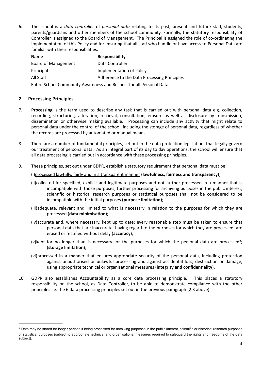6. The school is a *data controller* of *personal data* relating to its past, present and future staff, students, parents/guardians and other members of the school community. Formally, the statutory responsibility of Controller is assigned to the Board of Management. The Principal is assigned the role of co-ordinating the implementation of this Policy and for ensuring that all staff who handle or have access to Personal Data are familiar with their responsibilities.

| <b>Name</b>                                                         | <b>Responsibility</b>                       |  |
|---------------------------------------------------------------------|---------------------------------------------|--|
| Board of Management                                                 | Data Controller                             |  |
| Principal                                                           | Implementation of Policy                    |  |
| All Staff                                                           | Adherence to the Data Processing Principles |  |
| Entire School Community Awareness and Respect for all Personal Data |                                             |  |

#### <span id="page-3-0"></span>**2. Processing Principles**

- 7. **Processing** is the term used to describe any task that is carried out with personal data e.g. collection, recording, structuring, alteration, retrieval, consultation, erasure as well as disclosure by transmission, dissemination or otherwise making available. Processing can include any activity that might relate to personal data under the control of the school, including the storage of personal data, regardless of whether the records are processed by automated or manual means.
- 8. There are a number of fundamental principles, set out in the data protection legislation, that legally govern our treatment of personal data. As an integral part of its day to day operations, the school will ensure that all data processing is carried out in accordance with these processing principles.
- 9. These principles, set out under GDPR, establish a statutory requirement that personal data must be:

(i)processed lawfully, fairly and in a transparent manner (**lawfulness, fairness and transparency**);

- (ii)collected for specified, explicit and legitimate purposes and not further processed in a manner that is incompatible with those purposes; further processing for archiving purposes in the public interest, scientific or historical research purposes or statistical purposes shall not be considered to be incompatible with the initial purposes (purpose limitation);
- (iii)adequate, relevant and limited to what is necessary in relation to the purposes for which they are processed (data minimisation);
- (iv)accurate and, where necessary, kept up to date; every reasonable step must be taken to ensure that personal data that are inaccurate, having regard to the purposes for which they are processed, are erased or rectified without delay (**accuracy**);
- <span id="page-3-2"></span>(v)kept for no longer than is necessary for the purposes for which the personal data are processed<sup>2</sup>[;](#page-3-1) (storage limitation);
- (vi)processed in a manner that ensures appropriate security of the personal data, including protection against unauthorised or unlawful processing and against accidental loss, destruction or damage, using appropriate technical or organisational measures (integrity and confidentiality).
- 10. GDPR also establishes **Accountability** as a core data processing principle. This places a statutory responsibility on the school, as Data Controller, to be able to demonstrate compliance with the other principles i.e. the 6 data processing principles set out in the previous paragraph (2.3 above).

<span id="page-3-1"></span><sup>&</sup>lt;sup>[2](#page-3-2)</sup> Data may be stored for longer periods if being processed for archiving purposes in the public interest, scientific or historical research purposes or statistical purposes (subject to appropriate technical and organisational measures required to safeguard the rights and freedoms of the data subject).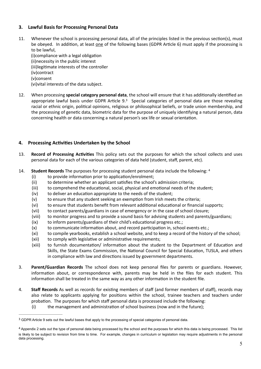#### <span id="page-4-0"></span>**3. Lawful Basis for Processing Personal Data**

11. Whenever the school is processing personal data, all of the principles listed in the previous section(s), must be obeyed. In addition, at least one of the following bases (GDPR Article 6) must apply if the processing is to be lawful,

<span id="page-4-4"></span>(i)compliance with a legal obligation (ii)necessity in the public interest (iii)legitimate interests of the controller (iv)contract (v)consent (vi)vital interests of the data subject.

12. When processing **special category personal data**, the school will ensure that it has additionally identified an appropriate lawful basis under GDPR Article 9.<sup>[3](#page-4-2)</sup> Special categories of personal data are those revealing racial or ethnic origin, political opinions, religious or philosophical beliefs, or trade union membership, and the processing of genetic data, biometric data for the purpose of uniquely identifying a natural person, data concerning health or data concerning a natural person's sex life or sexual orientation.

#### <span id="page-4-1"></span>4. Processing Activities Undertaken by the School

- 13. **Record of Processing Activities** This policy sets out the purposes for which the school collects and uses personal data for each of the various categories of data held (student, staff, parent, etc).
- <span id="page-4-5"></span>14. **Student Records** The purposes for processing student personal data include the following: [4](#page-4-3)
	- $(i)$  to provide information prior to application/enrolment;
	- (ii) to determine whether an applicant satisfies the school's admission criteria;
	- $(iii)$  to comprehend the educational, social, physical and emotional needs of the student;
	- $(iv)$  to deliver an education appropriate to the needs of the student;
	- $(v)$  to ensure that any student seeking an exemption from Irish meets the criteria;
	- (vi) to ensure that students benefit from relevant additional educational or financial supports;
	- (vii) to contact parents/guardians in case of emergency or in the case of school closure;
	- (viii) to monitor progress and to provide a sound basis for advising students and parents/guardians;
	- $(ix)$  to inform parents/guardians of their child's educational progress etc.;
	- $(x)$  to communicate information about, and record participation in, school events etc.;
	- (xi) to compile yearbooks, establish a school website, and to keep a record of the history of the school;
	- (xii) to comply with legislative or administrative requirements;
	- (xiii) to furnish documentation/ information about the student to the Department of Education and Skills, the State Exams Commission, the National Council for Special Education, TUSLA, and others in compliance with law and directions issued by government departments.
- 3. **Parent/Guardian Records** The school does not keep personal files for parents or guardians. However, information about, or correspondence with, parents may be held in the files for each student. This information shall be treated in the same way as any other information in the student file.
- 4. **Staff Records** As well as records for existing members of staff (and former members of staff), records may also relate to applicants applying for positions within the school, trainee teachers and teachers under probation. The purposes for which staff personal data is processed include the following:  $(i)$  the management and administration of school business (now and in the future);

<span id="page-4-2"></span><sup>&</sup>lt;sup>[3](#page-4-4)</sup> GDPR Article 9 sets out the lawful bases that apply to the processing of special categories of personal data.

<span id="page-4-3"></span><sup>&</sup>lt;sup>[4](#page-4-5)</sup> Appendix 2 sets out the type of personal data being processed by the school and the purposes for which this data is being processed. This list is likely to be subject to revision from time to time. For example, changes in curriculum or legislation may require adjustments in the personal data processing.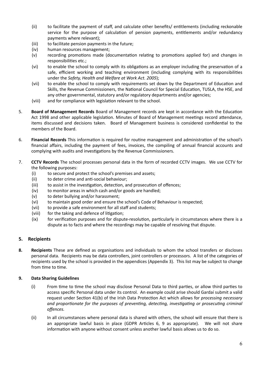- $(iii)$  to facilitate the payment of staff, and calculate other benefits/ entitlements (including reckonable service for the purpose of calculation of pension payments, entitlements and/or redundancy payments where relevant);
- (iii) to facilitate pension payments in the future;
- (iv) human resources management;
- (v) recording promotions made (documentation relating to promotions applied for) and changes in responsibilities etc.;
- (vi) to enable the school to comply with its obligations as an employer including the preservation of a safe, efficient working and teaching environment (including complying with its responsibilities under the *Safety, Health and Welfare at Work Act. 2005*);
- (vii) to enable the school to comply with requirements set down by the Department of Education and Skills, the Revenue Commissioners, the National Council for Special Education, TUSLA, the HSE, and any other governmental, statutory and/or regulatory departments and/or agencies;
- (viii) and for compliance with legislation relevant to the school.
- 5. **Board of Management Records** Board of Management records are kept in accordance with the Education Act 1998 and other applicable legislation. Minutes of Board of Management meetings record attendance, items discussed and decisions taken. Board of Management business is considered confidential to the members of the Board.
- 6. **Financial Records** This information is required for routine management and administration of the school's financial affairs, including the payment of fees, invoices, the compiling of annual financial accounts and complying with audits and investigations by the Revenue Commissioners.
- 7. **CCTV Records** The school processes personal data in the form of recorded CCTV images. We use CCTV for the following purposes:
	- (i) to secure and protect the school's premises and assets;
	- (ii) to deter crime and anti-social behaviour;
	- (iii) to assist in the investigation, detection, and prosecution of offences;
	- (iv) to monitor areas in which cash and/or goods are handled;
	- (v) to deter bullying and/or harassment;
	- (vi) to maintain good order and ensure the school's Code of Behaviour is respected;
	- (vii) to provide a safe environment for all staff and students;
	- (viii) for the taking and defence of litigation;
	- (ix) for verification purposes and for dispute-resolution, particularly in circumstances where there is a dispute as to facts and where the recordings may be capable of resolving that dispute.

#### <span id="page-5-0"></span>**5. Recipients**

**8. Recipients** These are defined as organisations and individuals to whom the school transfers or discloses personal data. Recipients may be data controllers, joint controllers or processors. A list of the categories of recipients used by the school is provided in the appendices (Appendix 3). This list may be subject to change from time to time.

#### **9. Data Sharing Guidelines**

- (i) From time to time the school may disclose Personal Data to third parties, or allow third parties to access specific Personal data under its control. An example could arise should Gardaí submit a valid request under Section 41(b) of the Irish Data Protection Act which allows for *processing necessary* and proportionate for the purposes of preventing, detecting, investigating or prosecuting criminal *offences.*
- (ii) In all circumstances where personal data is shared with others, the school will ensure that there is an appropriate lawful basis in place (GDPR Articles 6, 9 as appropriate). We will not share information with anyone without consent unless another lawful basis allows us to do so.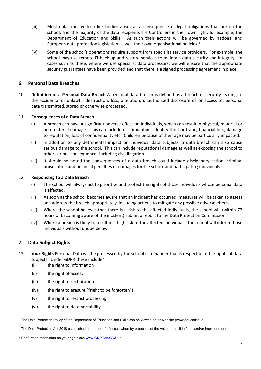- (iii) Most data transfer to other bodies arises as a consequence of legal obligations that are on the school, and the majority of the data recipients are Controllers in their own right, for example, the Department of Education and Skills. As such their actions will be governed by national and European data protection legislation as well their own organisational policies[.](#page-6-2)<sup>[5](#page-6-2)</sup>
- <span id="page-6-5"></span>(iv) Some of the school's operations require support from specialist service providers. For example, the school may use remote IT back-up and restore services to maintain data security and integrity. In cases such as these, where we use specialist data processors, we will ensure that the appropriate security guarantees have been provided and that there is a signed processing agreement in place.

#### <span id="page-6-0"></span>**6. Personal Data Breaches**

10. **Definition of a Personal Data Breach** A personal data breach is defined as a breach of security leading to the accidental or unlawful destruction, loss, alteration, unauthorised disclosure of, or access to, personal data transmitted, stored or otherwise processed.

#### 11. **Consequences of a Data Breach**

- (i) A breach can have a significant adverse effect on individuals, which can result in physical, material or non-material damage. This can include discrimination, identity theft or fraud, financial loss, damage to reputation, loss of confidentiality etc. Children because of their age may be particularly impacted.
- (ii) In addition to any detrimental impact on individual data subjects, a data breach can also cause serious damage to the school. This can include reputational damage as well as exposing the school to other serious consequences including civil litigation.
- <span id="page-6-6"></span>(iii) It should be noted the consequences of a data breach could include disciplinary action, criminal prosecution and financial penalties or damages for the school and participating individuals.<sup>[6](#page-6-3)</sup>

#### 12. **Responding to a Data Breach**

- (i) The school will always act to prioritise and protect the rights of those individuals whose personal data is affected.
- (ii) As soon as the school becomes aware that an incident has occurred, measures will be taken to assess and address the breach appropriately, including actions to mitigate any possible adverse effects.
- (iii) Where the school believes that there is a risk to the affected individuals, the school will (within 72 hours of becoming aware of the incident) submit a report to the Data Protection Commission.
- <span id="page-6-7"></span>(iv) Where a breach is likely to result in a high risk to the affected individuals, the school will inform those individuals without undue delay.

#### <span id="page-6-1"></span>**7. Data Subject Rights**

- 13. Your Rights Personal Data will be processed by the school in a manner that is respectful of the rights of data subjects. Under GDPR these include<sup>[7](#page-6-4)</sup>
	- $(i)$  the right to information
	- (ii) the right of access
	- (iii) the right to rectification
	- $(iv)$  the right to erasure ("right to be forgotten")
	- (v) the right to restrict processing
	- (vi) the right to data portability

<span id="page-6-2"></span><sup>&</sup>lt;sup>[5](#page-6-5)</sup> The Data Protection Policy of the Department of Education and Skills can be viewed on its website (www.education.ie).

<span id="page-6-3"></span> $6$  The Data Protection Act 2018 established a number of offences whereby breaches of the Act can result in fines and/or imprisonment.

<span id="page-6-4"></span><sup>&</sup>lt;sup>7</sup> For further information on your rights see [www.GDPRandYOU.ie](http://www.GDPRandYOU.ie).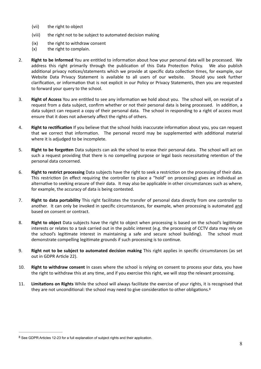- (vii) the right to object
- (viii) the right not to be subject to automated decision making
- (ix) the right to withdraw consent
- (x) the right to complain.
- 2. **Right to be Informed** You are entitled to information about how your personal data will be processed. We address this right primarily through the publication of this Data Protection Policy. We also publish additional privacy notices/statements which we provide at specific data collection times, for example, our Website Data Privacy Statement is available to all users of our website. Should you seek further clarification, or information that is not explicit in our Policy or Privacy Statements, then you are requested to forward your query to the school.
- 3. **Right of Access** You are entitled to see any information we hold about you. The school will, on receipt of a request from a data subject, confirm whether or not their personal data is being processed. In addition, a data subject can request a copy of their personal data. The school in responding to a right of access must ensure that it does not adversely affect the rights of others.
- 4. **Right to rectification** If you believe that the school holds inaccurate information about you, you can request that we correct that information. The personal record may be supplemented with additional material where it is adjudged to be incomplete.
- 5. **Right to be forgotten** Data subjects can ask the school to erase their personal data. The school will act on such a request providing that there is no compelling purpose or legal basis necessitating retention of the personal data concerned.
- 6. **Right to restrict processing** Data subjects have the right to seek a restriction on the processing of their data. This restriction (in effect requiring the controller to place a "hold" on processing) gives an individual an alternative to seeking erasure of their data. It may also be applicable in other circumstances such as where, for example, the accuracy of data is being contested.
- 7. **Right to data portability** This right facilitates the transfer of personal data directly from one controller to another. It can only be invoked in specific circumstances, for example, when processing is automated and based on consent or contract.
- 8. **Right to object** Data subjects have the right to object when processing is based on the school's legitimate interests or relates to a task carried out in the public interest (e.g. the processing of CCTV data may rely on the school's legitimate interest in maintaining a safe and secure school building). The school must demonstrate compelling legitimate grounds if such processing is to continue.
- 9. **Right not to be subject to automated decision making** This right applies in specific circumstances (as set out in GDPR Article 22).
- 10. **Right to withdraw consent** In cases where the school is relying on consent to process your data, you have the right to withdraw this at any time, and if you exercise this right, we will stop the relevant processing.
- <span id="page-7-1"></span>11. **Limitations on Rights** While the school will always facilitate the exercise of your rights, it is recognised that they are not unconditional: the school may need to give consideration to other obligations. $8$

<span id="page-7-0"></span><sup>&</sup>lt;sup>[8](#page-7-1)</sup> See GDPR Articles 12-23 for a full explanation of subject rights and their application.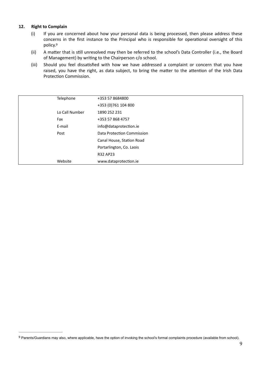#### **12. Right to Complain**

- (i) If you are concerned about how your personal data is being processed, then please address these concerns in the first instance to the Principal who is responsible for operational oversight of this policy.<sup>[9](#page-8-0)</sup>
- <span id="page-8-1"></span>(ii) A matter that is still unresolved may then be referred to the school's Data Controller (i.e., the Board of Management) by writing to the Chairperson c/o school.
- (iii) Should you feel dissatisfied with how we have addressed a complaint or concern that you have raised, you have the right, as data subject, to bring the matter to the attention of the Irish Data Protection Commission.

| Telephone      | +353 57 8684800            |
|----------------|----------------------------|
|                | +353 (0) 761 104 800       |
| Lo Call Number | 1890 252 231               |
| Fax            | +353 57 868 4757           |
| E-mail         | info@dataprotection.ie     |
| Post           | Data Protection Commission |
|                | Canal House, Station Road  |
|                | Portarlington, Co. Laois   |
|                | R32 AP23                   |
| Website        | www.dataprotection.ie      |

<span id="page-8-0"></span>Parents/Guardians may also, where applicable, have the option of invoking the school's formal complaints procedure (available from school). [9](#page-8-1)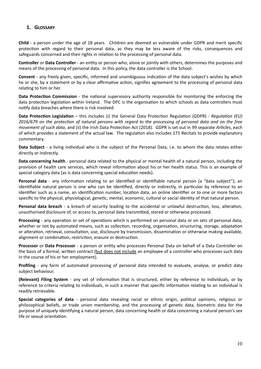#### <span id="page-9-0"></span>**1. GLOSSARY**

**Child** - a person under the age of 18 years. Children are deemed as vulnerable under GDPR and merit specific protection with regard to their personal data, as they may be less aware of the risks, consequences and safeguards concerned and their rights in relation to the processing of personal data.

**Controller** or **Data Controller** - an entity or person who, alone or jointly with others, determines the purposes and means of the processing of personal data. In this policy, the data controller is the School.

**Consent** - any freely given, specific, informed and unambiguous indication of the data subject's wishes by which he or she, by a statement or by a clear affirmative action, signifies agreement to the processing of personal data relating to him or her.

**Data Protection Commission** - the national supervisory authority responsible for monitoring the enforcing the data protection legislation within Ireland. The DPC is the organisation to which schools as data controllers must notify data breaches where there is risk involved.

**Data Protection Legislation** – this includes (i) the General Data Protection Regulation (GDPR) - *Regulation (EU)* 2016/679 on the protection of natural persons with regard to the processing of personal data and on the free *movement of such data*, and (ii) the Irish Data Protection Act (2018). GDPR is set out in 99 separate *Articles*, each of which provides a statement of the actual law. The regulation also includes 171 Recitals to provide explanatory commentary.

**Data Subject** - a living individual who is the subject of the Personal Data, i.e. to whom the data relates either directly or indirectly.

**Data concerning health** - personal data related to the physical or mental health of a natural person, including the provision of health care services, which reveal information about his or her health status. This is an example of special category data (as is data concerning special education needs).

**Personal data** - any information relating to an identified or identifiable natural person (a "data subject"); an identifiable natural person is one who can be identified, directly or indirectly, in particular by reference to an identifier such as a name, an identification number, location data, an online identifier or to one or more factors specific to the physical, physiological, genetic, mental, economic, cultural or social identity of that natural person.

**Personal data breach** - a breach of security leading to the accidental or unlawful destruction, loss, alteration, unauthorised disclosure of, or access to, personal data transmifed, stored or otherwise processed.

**Processing** - any operation or set of operations which is performed on personal data or on sets of personal data, whether or not by automated means, such as collection, recording, organisation, structuring, storage, adaptation or alteration, retrieval, consultation, use, disclosure by transmission, dissemination or otherwise making available, alignment or combination, restriction, erasure or destruction.

**Processor** or **Data Processor** - a person or entity who processes Personal Data on behalf of a Data Controller on the basis of a formal, written contract (but does not include an employee of a controller who processes such data in the course of his or her employment).

**Profiling** - any form of automated processing of personal data intended to evaluate, analyse, or predict data subject behaviour.

**(Relevant) Filing System** - any set of information that is structured, either by reference to individuals, or by reference to criteria relating to individuals, in such a manner that specific information relating to an individual is readily retrievable.

**Special categories of data** - personal data revealing racial or ethnic origin, political opinions, religious or philosophical beliefs, or trade union membership, and the processing of genetic data, biometric data for the purpose of uniquely identifying a natural person, data concerning health or data concerning a natural person's sex life or sexual orientation.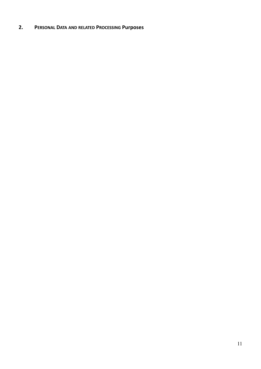### <span id="page-10-0"></span>**2. PERSONAL DATA AND RELATED PROCESSING Purposes**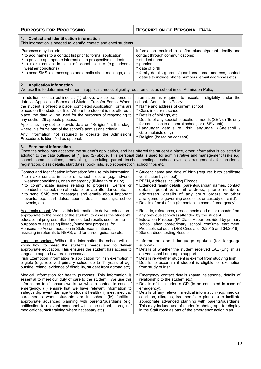| <b>PURPOSES FOR PROCESSING</b>                                                                                                                                                                                                                                                                                                                                                                                                                                                                              | <b>DESCRIPTION OF PERSONAL DATA</b>                                                                                                                                                                                                                                      |  |  |
|-------------------------------------------------------------------------------------------------------------------------------------------------------------------------------------------------------------------------------------------------------------------------------------------------------------------------------------------------------------------------------------------------------------------------------------------------------------------------------------------------------------|--------------------------------------------------------------------------------------------------------------------------------------------------------------------------------------------------------------------------------------------------------------------------|--|--|
| <b>Contact and identification information</b><br>1.<br>This information is needed to identify, contact and enrol students.                                                                                                                                                                                                                                                                                                                                                                                  |                                                                                                                                                                                                                                                                          |  |  |
| Purposes may include:<br>• to add names to a contact list prior to formal application<br>• to provide appropriate information to prospective students<br>• to make contact in case of school closure (e.g. adverse<br>weather conditions)<br>• to send SMS text messages and emails about meetings, etc.                                                                                                                                                                                                    | Information required to confirm student/parent identity and<br>contact through communications:<br>• student name<br>• gender<br>• date of birth<br>• family details (parents/guardians name, address, contact<br>details to include phone numbers, email addresses etc). |  |  |
| 2. Application information<br>We use this to determine whether an applicant meets eligibility requirements as set out in our Admission Policy.                                                                                                                                                                                                                                                                                                                                                              |                                                                                                                                                                                                                                                                          |  |  |
| In addition to data outlined at (1) above, we collect personal                                                                                                                                                                                                                                                                                                                                                                                                                                              | Information as required to ascertain eligibility under the                                                                                                                                                                                                               |  |  |
| data via Application Forms and Student Transfer Forms. Where                                                                                                                                                                                                                                                                                                                                                                                                                                                | school's Admissions Policy:                                                                                                                                                                                                                                              |  |  |
| the student is offered a place, completed Application Forms are                                                                                                                                                                                                                                                                                                                                                                                                                                             | • Name and address of current school                                                                                                                                                                                                                                     |  |  |
| placed on the student's file. Where the student is not offered a                                                                                                                                                                                                                                                                                                                                                                                                                                            | • Class in current school                                                                                                                                                                                                                                                |  |  |
| place, the data will be used for the purposes of responding to                                                                                                                                                                                                                                                                                                                                                                                                                                              | • Details of siblings, etc.                                                                                                                                                                                                                                              |  |  |
| any section 29 appeals process.                                                                                                                                                                                                                                                                                                                                                                                                                                                                             | • Details of any special educational needs (SEN). (NB only                                                                                                                                                                                                               |  |  |
| Applicants may opt to provide data on "Religion" at this stage                                                                                                                                                                                                                                                                                                                                                                                                                                              | for admission to a special school, or a SEN unit).                                                                                                                                                                                                                       |  |  |
| where this forms part of the school's admissions criteria.                                                                                                                                                                                                                                                                                                                                                                                                                                                  | * Language: details re Irish language. (Gaelscoil /                                                                                                                                                                                                                      |  |  |
| Any information not required to operate the Admissions                                                                                                                                                                                                                                                                                                                                                                                                                                                      | Gaelcholáiste only)                                                                                                                                                                                                                                                      |  |  |
| Procedure, is identified as optional.                                                                                                                                                                                                                                                                                                                                                                                                                                                                       | • Religion (based on consent)                                                                                                                                                                                                                                            |  |  |
| 3. Enrolment information<br>Once the school has accepted the student's application, and has offered the student a place, other information is collected in<br>addition to the data outlined at (1) and (2) above. This personal data is used for administrative and management tasks e.g.<br>school communications, timetabling, scheduling parent teacher meetings, school events, arrangements for academic<br>registration, class details, start dates, book lists, subject-selection, school trips etc. |                                                                                                                                                                                                                                                                          |  |  |
| Contact and Identification Information: We use this information:                                                                                                                                                                                                                                                                                                                                                                                                                                            | • Student name and date of birth (requires birth certificate                                                                                                                                                                                                             |  |  |
| • to make contact in case of school closure (e.g. adverse                                                                                                                                                                                                                                                                                                                                                                                                                                                   | verification by school)                                                                                                                                                                                                                                                  |  |  |
| weather conditions), or an emergency (ill-health or injury),                                                                                                                                                                                                                                                                                                                                                                                                                                                | • PPSN, Address including Eircode                                                                                                                                                                                                                                        |  |  |
| • to communicate issues relating to progress, welfare or                                                                                                                                                                                                                                                                                                                                                                                                                                                    | · Extended family details (parent/guardian names, contact                                                                                                                                                                                                                |  |  |
| conduct in school, non-attendance or late attendance, etc.                                                                                                                                                                                                                                                                                                                                                                                                                                                  | details, postal & email address, phone numbers,                                                                                                                                                                                                                          |  |  |
| • to send SMS text messages and emails about important                                                                                                                                                                                                                                                                                                                                                                                                                                                      | addresses, details of any court orders or other                                                                                                                                                                                                                          |  |  |
| events, e.g. start dates, course details, meetings, school                                                                                                                                                                                                                                                                                                                                                                                                                                                  | arrangements governing access to, or custody of, child).                                                                                                                                                                                                                 |  |  |
| events, etc.                                                                                                                                                                                                                                                                                                                                                                                                                                                                                                | • Details of next of kin (for contact in case of emergency)                                                                                                                                                                                                              |  |  |
| Academic record: We use this information to deliver education                                                                                                                                                                                                                                                                                                                                                                                                                                               | • Reports, references, assessments and other records from                                                                                                                                                                                                                |  |  |
| appropriate to the needs of the student, to assess the student's                                                                                                                                                                                                                                                                                                                                                                                                                                            | any previous school(s) attended by the student.                                                                                                                                                                                                                          |  |  |
| educational progress. Standardised test results used for the                                                                                                                                                                                                                                                                                                                                                                                                                                                | • Education Passport (6th Class Report provided by primary                                                                                                                                                                                                               |  |  |
| purposes of assessing literacy/numeracy progress, for                                                                                                                                                                                                                                                                                                                                                                                                                                                       | school after post-primary school confirms enrolment.                                                                                                                                                                                                                     |  |  |
| Reasonable Accommodation in State Examinations, for                                                                                                                                                                                                                                                                                                                                                                                                                                                         | Protocols set out in DES Circulars 42/2015 and 34/2016).                                                                                                                                                                                                                 |  |  |
| assisting in referrals to NEPS, and for career guidance etc.                                                                                                                                                                                                                                                                                                                                                                                                                                                | • Standardised testing Results                                                                                                                                                                                                                                           |  |  |
| <b>Language spoken:</b> Without this information the school will not                                                                                                                                                                                                                                                                                                                                                                                                                                        | • Information about language spoken (for language                                                                                                                                                                                                                        |  |  |
| know how to meet the student's needs and to deliver                                                                                                                                                                                                                                                                                                                                                                                                                                                         | support)                                                                                                                                                                                                                                                                 |  |  |
| appropriate education. This ensures the student has access to                                                                                                                                                                                                                                                                                                                                                                                                                                               | • Details of whether the student received EAL (English as                                                                                                                                                                                                                |  |  |
| language support (where necessary).                                                                                                                                                                                                                                                                                                                                                                                                                                                                         | an Additional Language) support.                                                                                                                                                                                                                                         |  |  |
| Irish Exemption Information re application for Irish exemption if                                                                                                                                                                                                                                                                                                                                                                                                                                           | Details re whether student is exempt from studying Irish                                                                                                                                                                                                                 |  |  |
| eligible (e.g. received primary school up to 11 years of age                                                                                                                                                                                                                                                                                                                                                                                                                                                | • Details to ascertain if student is eligible for exemption                                                                                                                                                                                                              |  |  |
| outside Ireland, evidence of disability, student from abroad etc).                                                                                                                                                                                                                                                                                                                                                                                                                                          | from study of Irish                                                                                                                                                                                                                                                      |  |  |
| Medical information for health purposes: This information is                                                                                                                                                                                                                                                                                                                                                                                                                                                | Emergency contact details (name, telephone, details of                                                                                                                                                                                                                   |  |  |
| essential to meet our duty of care to the student. We use this                                                                                                                                                                                                                                                                                                                                                                                                                                              | relationship to the student etc).                                                                                                                                                                                                                                        |  |  |
| information to (i) ensure we know who to contact in case of                                                                                                                                                                                                                                                                                                                                                                                                                                                 | • Details of the student's GP (to be contacted in case of                                                                                                                                                                                                                |  |  |
| emergency, (ii) ensure that we have relevant information to                                                                                                                                                                                                                                                                                                                                                                                                                                                 | emergency).                                                                                                                                                                                                                                                              |  |  |
| safeguard/prevent damage to student health (iii) meet medical/                                                                                                                                                                                                                                                                                                                                                                                                                                              | • Details of any relevant medical information (e.g. medical                                                                                                                                                                                                              |  |  |
| care needs when students are in school (iv) facilitate                                                                                                                                                                                                                                                                                                                                                                                                                                                      | condition, allergies, treatment/care plan etc) to facilitate                                                                                                                                                                                                             |  |  |
| appropriate advanced planning with parents/guardians (e.g.                                                                                                                                                                                                                                                                                                                                                                                                                                                  | appropriate advanced planning with parents/guardians.                                                                                                                                                                                                                    |  |  |
| notification to relevant personnel within the school, storage of                                                                                                                                                                                                                                                                                                                                                                                                                                            | This may include use of student's photograph for display                                                                                                                                                                                                                 |  |  |
| medications, staff training where necessary etc).                                                                                                                                                                                                                                                                                                                                                                                                                                                           | in the Staff room as part of the emergency action plan.                                                                                                                                                                                                                  |  |  |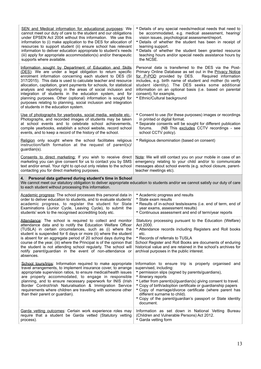| SEN and Medical information for educational purposes: We<br>cannot meet our duty of care to the student and our obligations<br>under EPSEN Act 2004 without this information. We use this<br>information to (i) make application to the DES for allocation of<br>resources to support student (ii) ensure school has relevant<br>information to deliver education appropriate to student's needs<br>(iii) apply for appropriate accommodation(s) and/or therapeutic<br>supports where available.                                                                                                                                  | • Details of any special needs/medical needs that need to<br>be accommodated, e.g. medical assessment, hearing/<br>vision issues, psychological assessment/report.<br>• Details of whether the student has been in receipt of<br>learning support.<br>• Details of whether the student been granted resource<br>teaching hours and/or special needs assistance hours by<br>the NCSE.                                                                              |  |  |
|-----------------------------------------------------------------------------------------------------------------------------------------------------------------------------------------------------------------------------------------------------------------------------------------------------------------------------------------------------------------------------------------------------------------------------------------------------------------------------------------------------------------------------------------------------------------------------------------------------------------------------------|-------------------------------------------------------------------------------------------------------------------------------------------------------------------------------------------------------------------------------------------------------------------------------------------------------------------------------------------------------------------------------------------------------------------------------------------------------------------|--|--|
| Information sought by Department of Education and Skills<br>(DES): We are under a legal obligation to return specific<br>enrolment information concerning each student to DES (SI<br>317/2015). This data is used to calculate teacher and resource<br>allocation, capitation, grant payments for schools, for statistical<br>analysis and reporting in the areas of social inclusion and<br>integration of students in the education system, and for<br>planning purposes. Other (optional) information is sought for<br>purposes relating to planning, social inclusion and integration<br>of students in the education system. | Personal data is transferred to the DES via the Post-<br>Primary Online Database as set out in the Privacy Notice<br>for P-POD provided by DES.<br>Required information<br>includes, e.g. birth name of student and mother (to verify<br>student identity). The DES seeks some additional<br>information on an optional basis (i.e. based on parental<br>consent), for example,<br>• Ethnic/Cultural background                                                   |  |  |
| Use of photographs for yearbooks, social media, website etc.:<br>Photographs, and recorded images of students may be taken<br>at school events and to celebrate school achievements,<br>compile yearbooks, establish a school website, record school<br>events, and to keep a record of the history of the school.                                                                                                                                                                                                                                                                                                                | • Consent to use (for these purposes) images or recordings<br>in printed or digital format.<br>• Separate consents will be sought for different publication<br>(NB This excludes CCTV recordings - see<br>forums.<br>school CCTV policy).                                                                                                                                                                                                                         |  |  |
| Religion only sought where the school facilitates religious<br>instruction/faith formation at the request of parent(s)/<br>guardian(s).                                                                                                                                                                                                                                                                                                                                                                                                                                                                                           | • Religious denomination (based on consent)                                                                                                                                                                                                                                                                                                                                                                                                                       |  |  |
| Consents to direct marketing: If you wish to receive direct<br>marketing you can give consent for us to contact you by SMS<br>text and/or email. Your right to opt-out only relates to the school<br>contacting you for direct marketing purposes.                                                                                                                                                                                                                                                                                                                                                                                | Note: We will still contact you on your mobile in case of an<br>emergency relating to your child and/or to communicate<br>messages about school events (e.g. school closure, parent-<br>teacher meetings etc).                                                                                                                                                                                                                                                    |  |  |
| Personal data gathered during student's time in School<br>4.<br>We cannot meet our statutory obligation to deliver appropriate education to students and/or we cannot satisfy our duty of care<br>to each student without processing this information.                                                                                                                                                                                                                                                                                                                                                                            |                                                                                                                                                                                                                                                                                                                                                                                                                                                                   |  |  |
|                                                                                                                                                                                                                                                                                                                                                                                                                                                                                                                                                                                                                                   |                                                                                                                                                                                                                                                                                                                                                                                                                                                                   |  |  |
| Academic progress: The school processes this personal data in<br>order to deliver education to students, and to evaluate students'<br>academic progress, to register the student for State<br>Examinations (Junior Cycle, Leaving Cycle), to submit the<br>students' work to the recognised accrediting body etc.                                                                                                                                                                                                                                                                                                                 | • Academic progress and results<br>• State exam results<br>• Results of in-school tests/exams (i.e. end of term, end of<br>year exams, assessment results)<br>• Continuous assessment and end of term/year reports                                                                                                                                                                                                                                                |  |  |
| Attendance: The school is required to collect and monitor<br>attendance data and to notify the Education Welfare Officer<br>(TUSLA) in certain circumstances, such as (i) where the<br>student is suspended for 6 days or more (ii) where the student<br>is absent for an aggregate period of 20 school days during the<br>course of the year, (iii) where the Principal is of the opinion that<br>the student is not attending school regularly. The school will<br>notify parent/guardian in the event of non-attendance or<br>absences.                                                                                        | Statutory processing pursuant to the Education (Welfare)<br>Act 2000.<br>• Attendance records including Registers and Roll books<br>etc.<br>• Records of referrals to TUSLA<br>School Register and Roll Books are documents of enduring<br>historical value and are retained in the school's archives for<br>archival purposes in the public interest.                                                                                                            |  |  |
| School tours/trips: Information required to make appropriate<br>travel arrangements, to implement insurance cover, to arrange<br>appropriate supervision ratios, to ensure medical/health issues<br>are properly accommodated, to engage in responsible<br>planning, and to ensure necessary paperwork for INIS (Irish<br>Border Control/Irish Naturalisation & Immigration Service<br>requirements where children are travelling with someone other<br>than their parent or guardian).                                                                                                                                           | Information to ensure trip is properly organised and<br>supervised, including:<br>• permission slips (signed by parents/guardians),<br>• itinerary reports<br>• Letter from parent(s)/guardian(s) giving consent to travel.<br>• Copy of birth/adoption certificate or guardianship papers<br>* Copy of marriage/divorce certificate (where parent has<br>different surname to child).<br>* Copy of the parent/guardian's passport or State identity<br>document. |  |  |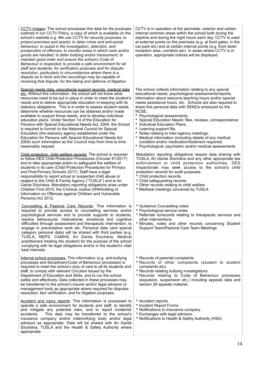| CCTV images: The school processes this data for the purposes<br>outlined in our CCTV Policy, a copy of which is available on the<br>school's website e.g. We use CCTV for security purposes; to<br>protect premises and assets; to deter crime and anti-social<br>behaviour; to assist in the investigation, detection, and<br>prosecution of offences; to monitor areas in which cash and/or<br>goods are handled; to deter bullying and/or harassment; to<br>maintain good order and ensure the school's Code of<br>Behaviour is respected; to provide a safe environment for all<br>staff and students; for verification purposes and for dispute-<br>resolution, particularly in circumstances where there is a<br>dispute as to facts and the recordings may be capable of<br>resolving that dispute; for the taking and defence of litigation.                 | CCTV is in operation at the perimeter, exterior and certain<br>internal common areas within the school both during the<br>daytime and during the night hours each day. CCTV is used<br>at external points on the premises (e.g. at front gates, in the<br>car-park etc) and at certain internal points (e.g. front desk/<br>reception area, corridors etc). In areas where CCTV is in<br>operation, appropriate notices will be displayed.                                                                                                                                                                                                                                                 |
|----------------------------------------------------------------------------------------------------------------------------------------------------------------------------------------------------------------------------------------------------------------------------------------------------------------------------------------------------------------------------------------------------------------------------------------------------------------------------------------------------------------------------------------------------------------------------------------------------------------------------------------------------------------------------------------------------------------------------------------------------------------------------------------------------------------------------------------------------------------------|--------------------------------------------------------------------------------------------------------------------------------------------------------------------------------------------------------------------------------------------------------------------------------------------------------------------------------------------------------------------------------------------------------------------------------------------------------------------------------------------------------------------------------------------------------------------------------------------------------------------------------------------------------------------------------------------|
| Special needs data, educational support records, medical data<br>etc: Without this information, the school will not know what<br>resources need to be put in place in order to meet the student's<br>needs and to deliver appropriate education in-keeping with its<br>statutory obligations. This is in order to assess student needs,<br>determine whether resources can be obtained and/or made<br>available to support those needs, and to develop individual<br>education plans. Under Section 14 of the Education for<br>Persons with Special Educational Needs Act, 2004, the School<br>is required to furnish to the National Council for Special<br>Education (the statutory agency established under the<br>Education for Persons with Special Educational Needs Act<br>2004) such information as the Council may from time to time<br>reasonably request. | The school collects information relating to any special<br>educational needs, psychological assessments/reports,<br>information about resource teaching hours and/or special<br>needs assistance hours, etc. Schools are also required to<br>share this personal data with SENOs employed by the<br>NCSE.<br>• Psychological assessments,<br>• Special Education Needs' files, reviews, correspondence<br>• Individual Education Plans,<br>• Learning support file,<br>• Notes relating to inter-agency meetings,<br>• Medical information (including details of any medical<br>condition and/or medication/treatment required)<br>• Psychological, psychiatric and/or medical assessments |
| Child protection, child welfare records: The school is required<br>to follow DES Child Protection Procedures (Circular 81/2017)<br>and to take appropriate action to safeguard the welfare of<br>students in its care (Child Protection Procedures for Primary<br>and Post-Primary Schools 2017). Staff have a legal<br>responsibility to report actual or suspected child abuse or<br>neglect to the Child & Family Agency ("TUSLA") and to An<br>Garda Síochána. Mandatory reporting obligations arise under<br>Children First 2015, the Criminal Justice (Withholding of<br>Information on Offences against Children and Vulnerable<br>Persons) Act 2012.                                                                                                                                                                                                         | Mandatory reporting obligations require data sharing with<br>TUSLA, An Garda Síochána and any other appropriate law<br>enforcement or child protection authorities. DES<br>Inspectorate may seek access to the school's child<br>protection records for audit purposes.<br>• Child protection records<br>• Child safeguarding records<br>• Other records relating to child welfare<br>• Meitheal meetings convened by TUSLA                                                                                                                                                                                                                                                                |
| Counselling & Pastoral Care Records: This information is<br>required to provide access to counselling services and/or<br>psychological services and to provide supports to students,<br>resolve behavioural, motivational, emotional and cognitive<br>difficulties through assessment and therapeutic intervention, to<br>engage in preventative work etc. Personal data (and special<br>category personal data) will be shared with third parties (e.g.<br>TUSLA, NEPS, CAMHS, An Garda Síochána, Medical<br>practitioners treating the student) for the purpose of the school<br>complying with its legal obligations and/or in the student's vital/<br>best interests.                                                                                                                                                                                            | • Guidance Counselling notes<br>• Psychological service notes<br>• Referrals to/records relating to therapeutic services and<br>other interventions<br>• Minutes, notes and other records concerning Student<br>Support Team/Pastoral Care Team Meetings                                                                                                                                                                                                                                                                                                                                                                                                                                   |
| Internal school processes: This information (e.g. anti-bullying<br>processes and disciplinary/Code of Behaviour processes) is<br>required to meet the school's duty of care to all its students and<br>staff, to comply with relevant Circulars issued by the<br>Department of Education and Skills, and to run the school<br>safely and effectively. Data collected in these processes may<br>be transferred to the school's insurer and/or legal advisors or<br>management body as appropriate where required for disputes<br>resolution, fact verification, and for litigation purposes.                                                                                                                                                                                                                                                                          | • Records of parental complaints.<br>* Records of other complaints (student to student<br>complaints etc).<br>• Records relating bullying investigations.<br>* Records relating to Code of Behaviour processes<br>(expulsion, suspension etc.) including appeals data and<br>section 29 appeals material.                                                                                                                                                                                                                                                                                                                                                                                  |
| Accident and injury reports: This information is processed to<br>operate a safe environment for students and staff, to identify<br>and mitigate any potential risks, and to report incidents/<br>This data may be transferred to the school's<br>accidents.<br>insurance company and/or indemnifying body and/or legal<br>advisors as appropriate. Data will be shared with An Garda<br>Síochána, TUSLA and the Health & Safety Authority where<br>appropriate.                                                                                                                                                                                                                                                                                                                                                                                                      | • Accident reports<br>• Incident Report Forms<br>• Notifications to insurance company<br>• Exchanges with legal advisors.<br>• Notifications to Health & Safety Authority (HSA)                                                                                                                                                                                                                                                                                                                                                                                                                                                                                                            |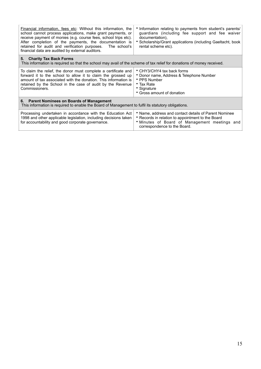| Financial information, fees etc: Without this information, the<br>school cannot process applications, make grant payments, or<br>receive payment of monies (e.g. course fees, school trips etc).<br>After completion of the payments, the documentation is<br>retained for audit and verification purposes. The school's<br>financial data are audited by external auditors. | • Information relating to payments from student's parents/<br>guardians (including fee support and fee waiver<br>documentation),<br>• Scholarship/Grant applications (including Gaeltacht, book<br>rental scheme etc). |  |
|------------------------------------------------------------------------------------------------------------------------------------------------------------------------------------------------------------------------------------------------------------------------------------------------------------------------------------------------------------------------------|------------------------------------------------------------------------------------------------------------------------------------------------------------------------------------------------------------------------|--|
| 5. Charity Tax Back Forms<br>This information is required so that the school may avail of the scheme of tax relief for donations of money received.                                                                                                                                                                                                                          |                                                                                                                                                                                                                        |  |
| To claim the relief, the donor must complete a certificate and<br>forward it to the school to allow it to claim the grossed up<br>amount of tax associated with the donation. This information is<br>retained by the School in the case of audit by the Revenue<br>Commissioners.                                                                                            | • CHY3/CHY4 tax back forms<br>• Donor name, Address & Telephone Number<br>• PPS Number<br>• Tax Rate<br>• Signature<br>• Gross amount of donation                                                                      |  |
| 6. Parent Nominees on Boards of Management<br>This information is required to enable the Board of Management to fulfil its statutory obligations.                                                                                                                                                                                                                            |                                                                                                                                                                                                                        |  |
| Processing undertaken in accordance with the Education Act<br>1998 and other applicable legislation, including decisions taken<br>for accountability and good corporate governance.                                                                                                                                                                                          | • Name, address and contact details of Parent Nominee<br>• Records in relation to appointment to the Board<br>• Minutes of Board of Management meetings and<br>correspondence to the Board.                            |  |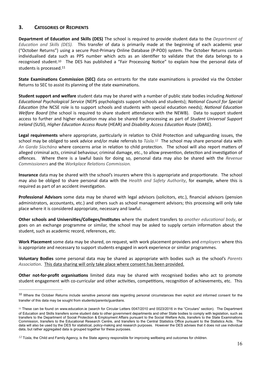#### <span id="page-15-0"></span>**3. CATEGORIES OF RECIPIENTS**

**Department of Education and Skills (DES)** The school is required to provide student data to the *Department of Educa\*on and Skills (DES).* This transfer of data is primarily made at the beginning of each academic year ("October Returns") using a secure Post-Primary Online Database (P-POD) system. The October Returns contain individualised data such as PPS number which acts as an identifier to validate that the data belongs to a recognised student.<sup>[10](#page-15-1)</sup> The DES has published a "Fair Processing Notice" to explain how the personal data of students is processed.[11](#page-15-2)

<span id="page-15-5"></span><span id="page-15-4"></span>**State Examinations Commission (SEC)** data on entrants for the state examinations is provided via the October Returns to SEC to assist its planning of the state examinations.

**Student support and welfare** student data may be shared with a number of public state bodies including *National Educa\*onal Psychological Service* (NEPS psychologists support schools and students); *Na\*onal Council for Special Education* (the NCSE role is to support schools and students with special education needs); *National Education Welfare Board* (the school is required to share student attendance with the NEWB). Data to support student access to further and higher education may also be shared for processing as part of *Student Universal Support Ireland* (SUSI), *Higher Education Access Route* (HEAR) and *Disability Access Education Route* (DARE).

<span id="page-15-6"></span>**Legal requirements** where appropriate, particularly in relation to Child Protection and safeguarding issues, the school may be obliged to seek advice and/or make referrals to *Túsla.<sup>[12](#page-15-3)</sup>* The school may share personal data with An Garda Síochána where concerns arise in relation to child protection. The school will also report matters of alleged criminal acts, criminal behaviour, criminal damage, etc., to allow prevention, detection and investigation of offences. Where there is a lawful basis for doing so, personal data may also be shared with the *Revenue Commissioners* and the *Workplace Relations Commission.* 

**Insurance** data may be shared with the school's insurers where this is appropriate and proportionate. The school may also be obliged to share personal data with the *Health and Safety Authority*, for example, where this is required as part of an accident investigation.

**Professional Advisors** some data may be shared with legal advisors (solicitors, etc.), financial advisors (pension administrators, accountants, etc.) and others such as school management advisors; this processing will only take place where it is considered appropriate, necessary and lawful.

**Other schools and Universities/Colleges/Institutes** where the student transfers to *another educational body*, or goes on an exchange programme or similar, the school may be asked to supply certain information about the student, such as academic record, references, etc.

**Work Placement** some data may be shared, on request, with work placement providers and *employers* where this is appropriate and necessary to support students engaged in work experience or similar programmes.

**Voluntary Bodies** some personal data may be shared as appropriate with bodies such as the school's *Parents Association*. This data sharing will only take place where consent has been provided.

**Other not-for-profit organisations** limited data may be shared with recognised bodies who act to promote student engagement with co-curricular and other activities, competitions, recognition of achievements, etc. This

<span id="page-15-1"></span><sup>&</sup>lt;sup>[10](#page-15-4)</sup> Where the October Returns include sensitive personal data regarding personal circumstances then explicit and informed consent for the transfer of this data may be sought from students/parents/guardians.

<span id="page-15-2"></span>[<sup>11</sup>](#page-15-5) These can be found on www.education.ie (search for Circular Letters 0047/2010 and 0023/2016 in the "Circulars" section). The Department of Education and Skills transfers some student data to other government departments and other State bodies to comply with legislation, such as transfers to the Department of Social Protection & Employment Affairs pursuant to the Social Welfare Acts, transfers to the State Examinations Commission, transfers to the Educational Research Centre, and transfers to the Central Statistics Office pursuant to the Statistics Acts. The data will also be used by the DES for statistical, policy-making and research purposes. However the DES advises that it does not use individual data, but rather aggregated data is grouped together for these purposes.

<span id="page-15-3"></span>Túsla, the Child and Family Agency, is the State agency responsible for improving wellbeing and outcomes for children. *[12](#page-15-6)*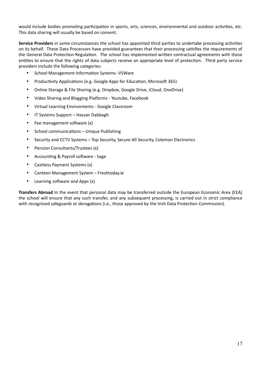would include bodies promoting participation in sports, arts, sciences, environmental and outdoor activities, etc. This data sharing will usually be based on consent.

**Service Providers** in some circumstances the school has appointed third parties to undertake processing activities on its behalf. These Data Processors have provided guarantees that their processing satisfies the requirements of the General Data Protection Regulation. The school has implemented written contractual agreements with these entities to ensure that the rights of data subjects receive an appropriate level of protection. Third party service providers include the following categories:

- School Management Information Systems -VSWare
- Productivity Applications (e.g. Google Apps for Education, Microsoft 365)
- Online Storage & File Sharing (e.g. Dropbox, Google Drive, iCloud, OneDrive)
- Video Sharing and Blogging Platforms Youtube, Facebook
- Virtual Learning Environments Google Classroom
- IT Systems Support Hassan Dabbagh
- $\bullet$  Fee management software  $(x)$
- School communications Unique Publishing
- Security and CCTV Systems Top Security, Secure All Security, Coleman Electronics
- Pension Consultants/Trustees (x)
- Accounting & Payroll software Sage
- Cashless Payment Systems (x)
- Canteen Management System Freshtoday.ie
- Learning software and Apps (x)

**Transfers Abroad** In the event that personal data may be transferred outside the European Economic Area (EEA) the school will ensure that any such transfer, and any subsequent processing, is carried out in strict compliance with recognised safeguards or derogations (i.e., those approved by the Irish Data Protection Commission).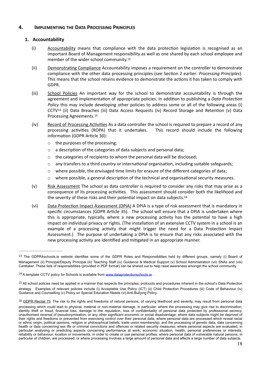#### **4. IMPLEMENTING THE DATA PROCESSING PRINCIPLES**

#### <span id="page-17-0"></span>**1. Accountability**

- <span id="page-17-1"></span>(i) Accountability means that compliance with the data protection legislation is recognised as an important Board of Management responsibility as well as one shared by each school employee and member of the wider school community[. 13](#page-17-2)
- <span id="page-17-6"></span>(ii) Demonstrating Compliance Accountability imposes a requirement on the controller to demonstrate compliance with the other data processing principles (see Section 2 earlier: *Processing Principles*). This means that the school retains evidence to demonstrate the actions it has taken to comply with GDPR.
- (iii) School Policies An important way for the school to demonstrate accountability is through the agreement and implementation of appropriate policies. In addition to publishing a *Data Protection Policy* this may include developing other policies to address some or all of the following areas (i) CCTV<sup>[14](#page-17-3)</sup> (ii) Data Breaches (iii) Data Access Requests (iv) Record Storage and Retention (v) Data Processing Agreements[.15](#page-17-4)
- <span id="page-17-8"></span><span id="page-17-7"></span>(iv) Record of Processing Activities As a data controller the school is required to prepare a record of any processing activities (ROPA) that it undertakes. This record should include the following information (GDPR Article 30):
	- o the purposes of the processing;
	- $\circ$  a description of the categories of data subjects and personal data;
	- $\circ$  the categories of recipients to whom the personal data will be disclosed;
	- $\circ$  any transfers to a third country or international organisation, including suitable safeguards;
	- $\circ$  where possible, the envisaged time limits for erasure of the different categories of data;
	- $\circ$  where possible, a general description of the technical and organisational security measures.
- <span id="page-17-9"></span>(v) Risk Assessment The school as data controller is required to consider any risks that may arise as a consequence of its processing activities. This assessment should consider both the likelihood and the severity of these risks and their potential impact on data subjects.<sup>16</sup>
- (vi) Data Protection Impact Assessment (DPIA) A DPIA is a type of risk assessment that is mandatory in specific circumstances (GDPR Article 35). The school will ensure that a DPIA is undertaken where this is appropriate, typically, where a new processing activity has the potential to have a high impact on individual privacy or rights. (The installation of an extensive CCTV system in a school is an example of a processing activity that might trigger the need for a Data Protection Impact Assessment.) The purpose of undertaking a DPIA is to ensure that any risks associated with the new processing activity are identified and mitigated in an appropriate manner.

<span id="page-17-2"></span>[<sup>13</sup>](#page-17-6) The GDPR4schools.ie website identifies some of the GDPR Roles and Responsibilities held by different groups, namely (i) Board of Management (ii) Principal/Deputy Principal (iii) Teaching Staff (iv) Guidance & Medical Support (v) School Administration (vii) SNAs and (viii) Caretaker. These lists of responsibilities (provided in PDF format) can be shared out to help raise awareness amongst the school community.

<span id="page-17-3"></span><sup>&</sup>lt;sup>14</sup> A template CCTV policy for Schools is available from [www.dataprotectionschools.ie](http://www.dataprotectionschools.ie)

<span id="page-17-4"></span><sup>&</sup>lt;sup>[15](#page-17-8)</sup> All school policies need be applied in a manner that respects the principles, protocols and procedures inherent in the school's Data Protection strategy. Examples of relevant policies include (i) Acceptable Use Policy (ICT) (ii) Child Protection Procedures (iii) Code of Behaviour (iv) Guidance and Counselling (v) Policy on Special Education Needs (vi) Anti-Bullying Policy.

<span id="page-17-5"></span><sup>&</sup>lt;sup>[16](#page-17-9)</sup> GDPR Recital 75: The risk to the rights and freedoms of natural persons, of varying likelihood and severity, may result from personal data processing which could lead to physical, material or non-material damage, in particular: where the processing may give rise to discrimination, identity theft or fraud, financial loss, damage to the reputation, loss of confidentiality of personal data protected by professional secrecy, unauthorised reversal of pseudonymisation, or any other significant economic or social disadvantage; where data subjects might be deprived of their rights and freedoms or prevented from exercising control over their personal data; where personal data are processed which reveal racial or ethnic origin, political opinions, religion or philosophical beliefs, trade union membership, and the processing of genetic data, data concerning health or data concerning sex life or criminal convictions and offences or related security measures; where personal aspects are evaluated, in particular analysing or predicting aspects concerning performance at work, economic situation, health, personal preferences or interests, reliability or behaviour, location or movements, in order to create or use personal profiles; where personal data of vulnerable natural persons, in particular of children, are processed; or where processing involves a large amount of personal data and affects a large number of data subjects.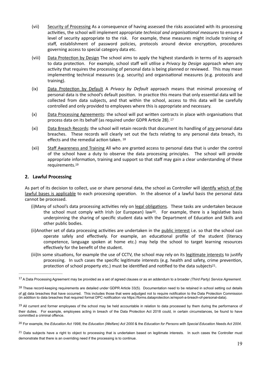- (vii) Security of Processing As a consequence of having assessed the risks associated with its processing activities, the school will implement appropriate *technical and organisational measures* to ensure a level of security appropriate to the risk. For example, these measures might include training of staff, establishment of password policies, protocols around device encryption, procedures governing access to special category data etc.
- (viii) Data Protection by Design The school aims to apply the highest standards in terms of its approach to data protection. For example, school staff will utilise a *Privacy by Design* approach when any activity that requires the processing of personal data is being planned or reviewed. This may mean implementing technical measures (e.g. security) and organisational measures (e.g. protocols and training).
- (ix) Data Protection by Default A *Privacy by Default* approach means that minimal processing of personal data is the school's default position. In practice this means that only essential data will be collected from data subjects, and that within the school, access to this data will be carefully controlled and only provided to employees where this is appropriate and necessary.
- <span id="page-18-6"></span> $(x)$  Data Processing Agreements: the school will put written contracts in place with organisations that process data on its behalf (as required under GDPR Article 28). [17](#page-18-1)
- (xi) Data Breach Records: the school will retain records that document its handling of any personal data breaches. These records will clearly set out the facts relating to any personal data breach, its effects and the remedial action taken. [18](#page-18-2)
- <span id="page-18-8"></span><span id="page-18-7"></span>(xii) Staff Awareness and Training All who are granted access to personal data that is under the control of the school have a duty to observe the data processing principles. The school will provide appropriate information, training and support so that staff may gain a clear understanding of these requirements.[19](#page-18-3)

#### <span id="page-18-0"></span>**2. Lawful Processing**

As part of its decision to collect, use or share personal data, the school as Controller will identify which of the lawful bases is applicable to each processing operation. In the absence of a lawful basis the personal data cannot be processed.

- <span id="page-18-9"></span>(i)Many of school's data processing activities rely on legal obligations. These tasks are undertaken because the school must comply with Irish (or European) law<sup>20</sup>[.](#page-18-4) For example, there is a legislative basis underpinning the sharing of specific student data with the Department of Education and Skills and other public bodies.
- (ii)Another set of data processing activities are undertaken in the public interest i.e. so that the school can operate safely and effectively. For example, an educational profile of the student (literacy competence, language spoken at home etc.) may help the school to target learning resources effectively for the benefit of the student.
- <span id="page-18-10"></span>(iii)In some situations, for example the use of CCTV, the school may rely on its legitimate interests to justify processing. In such cases the specific legitimate interests (e.g. health and safety, crime prevention, protection of school property etc.) must be identified and notified to the data subjects $21$ .

<span id="page-18-1"></span>A Data Processing Agreement may be provided as a set of agreed clauses or as an addendum to a broader *(Third Party) Service Agreement*. [17](#page-18-6)

<span id="page-18-2"></span>[<sup>18</sup>](#page-18-7) These record-keeping requirements are detailed under GDPR Article 33(5). Documentation need to be retained in school setting out details of all data breaches that have occurred. This includes those that were adjudged not to require notification to the Data Protection Commission (in addition to data breaches that required formal DPC notification via https://forms.dataprotection.ie/report-a-breach-of-personal-data).

<span id="page-18-3"></span> $19$  All current and former employees of the school may be held accountable in relation to data processed by them during the performance of their duties. For example, employees acting in breach of the Data Protection Act 2018 could, in certain circumstances, be found to have committed a criminal offence.

<span id="page-18-4"></span>For example, the *Education Act 1998*, the *Education (Welfare) Act 2000* & the *Education for Persons with Special Education Needs Act 2004*. [20](#page-18-9)

<span id="page-18-5"></span><sup>&</sup>lt;sup>[21](#page-18-10)</sup> Data subjects have a right to object to processing that is undertaken based on legitimate interests. In such cases the Controller must demonstrate that there is an overriding need if the processing is to continue.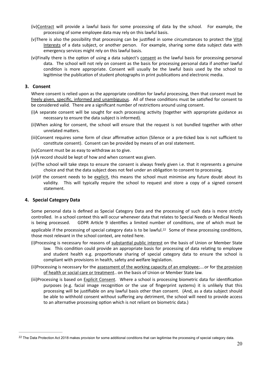- (iv)Contract will provide a lawful basis for some processing of data by the school. For example, the processing of some employee data may rely on this lawful basis.
- (v)There is also the possibility that processing can be justified in some circumstances to protect the Vital Interests of a data subject, or another person. For example, sharing some data subject data with emergency services might rely on this lawful basis.
- (vi)Finally there is the option of using a data subject's consent as the lawful basis for processing personal data. The school will not rely on consent as the basis for processing personal data if another lawful condition is more appropriate. Consent will usually be the lawful basis used by the school to legitimise the publication of student photographs in print publications and electronic media.

#### **3. Consent**

<span id="page-19-0"></span>Where consent is relied upon as the appropriate condition for lawful processing, then that consent must be freely given, specific, informed and unambiguous. All of these conditions must be satisfied for consent to be considered valid. There are a significant number of restrictions around using consent.

- (i)A separate consent will be sought for each processing activity (together with appropriate guidance as necessary to ensure the data subject is informed).
- (ii)When asking for consent, the school will ensure that the request is not bundled together with other unrelated matters.
- (iii)Consent requires some form of clear affirmative action (Silence or a pre-ticked box is not sufficient to constitute consent). Consent can be provided by means of an oral statement.
- (iv)Consent must be as easy to withdraw as to give.
- (v)A record should be kept of how and when consent was given.
- (vi)The school will take steps to ensure the consent is always freely given i.e. that it represents a genuine choice and that the data subject does not feel under an obligation to consent to processing.
- (vii)If the consent needs to be explicit, this means the school must minimise any future doubt about its validity. This will typically require the school to request and store a copy of a signed consent statement.

#### <span id="page-19-1"></span>**4. Special Category Data**

Some personal data is defined as Special Category Data and the processing of such data is more strictly controlled. In a school context this will occur whenever data that relates to Special Needs or Medical Needs is being processed. GDPR Article 9 identifies a limited number of conditions, one of which must be

<span id="page-19-3"></span>applicable if the processing of special category data is to be lawful.<sup>[22](#page-19-2)</sup> Some of these processing conditions, those most relevant in the school context, are noted here.

- (i)Processing is necessary for reasons of substantial public interest on the basis of Union or Member State law. This condition could provide an appropriate basis for processing of data relating to employee and student health e.g. proportionate sharing of special category data to ensure the school is compliant with provisions in health, safety and welfare legislation.
- (ii)Processing is necessary for the assessment of the working capacity of an employee;….or for the provision of health or social care or treatment.. on the basis of Union or Member State law.
- (iii)Processing is based on Explicit Consent. Where a school is processing biometric data for identification purposes (e.g. facial image recognition or the use of fingerprint systems) it is unlikely that this processing will be justifiable on any lawful basis other than consent. (And, as a data subject should be able to withhold consent without suffering any detriment, the school will need to provide access to an alternative processing option which is not reliant on biometric data.)

<span id="page-19-2"></span><sup>&</sup>lt;sup>[22](#page-19-3)</sup> The Data Protection Act 2018 makes provision for some additional conditions that can legitimise the processing of special category data.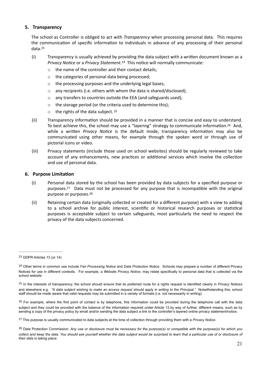#### <span id="page-20-0"></span>**5. Transparency**

The school as Controller is obliged to act with *Transparency* when processing personal data. This requires the communication of specific information to individuals in advance of any processing of their personal data. [23](#page-20-2)

- <span id="page-20-9"></span><span id="page-20-8"></span>(i) Transparency is usually achieved by providing the data subject with a wrifen document known as a *PrivacyNotice* or a *Privacy Statement*.<sup>[24](#page-20-3)</sup> This notice will normally communicate:
	- o the name of the controller and their contact details;
	- o the categories of personal data being processed;
	- o the processing purposes and the underlying legal bases;
	- o any recipients (i.e. others with whom the data is shared/disclosed);
	- $\circ$  any transfers to countries outside the EEA (and safeguards used);
	- o the storage period (or the criteria used to determine this);
	- $\circ$  the rights of the data subject. [25](#page-20-4)
- <span id="page-20-11"></span><span id="page-20-10"></span>(ii) Transparency information should be provided in a manner that is concise and easy to understand. To best achieve this, the school may use a "layering" strategy to communicate information.<sup>[26](#page-20-5)</sup> And, while a written *Privacy Notice* is the default mode, transparency information may also be communicated using other means, for example through the spoken word or through use of pictorial icons or video.
- (iii) Privacy statements (include those used on school websites) should be regularly reviewed to take account of any enhancements, new practices or additional services which involve the collection and use of personal data.

#### <span id="page-20-1"></span>**6.** Purpose Limitation

- <span id="page-20-12"></span>(i) Personal data stored by the school has been provided by data subjects for a specified purpose or purposes.<sup>[27](#page-20-6)</sup> Data must not be processed for any purpose that is incompatible with the original purpose or purposes. [28](#page-20-7)
- <span id="page-20-13"></span>(ii) Retaining certain data (originally collected or created for a different purpose) with a view to adding to a school archive for public interest, scientific or historical research purposes or statistical purposes is acceptable subject to certain safeguards, most particularly the need to respect the privacy of the data subjects concerned.

<span id="page-20-5"></span><sup>[26](#page-20-11)</sup> For example, where the first point of contact is by telephone, this information could be provided during the telephone call with the data subject and they could be provided with the balance of the information required under Article 13 by way of further, different means, such as by sending a copy of the privacy policy by email and/or sending the data subject a link to the controller's layered online privacy statement/notice.

<span id="page-20-2"></span>GDPR Articles 13 (or 14) [23](#page-20-8)

<span id="page-20-3"></span>Other terms in common use include *Fair Processing Notice* and *Data Protection Notice*. Schools may prepare a number of different Privacy [24](#page-20-9) Notices for use in different contexts. For example, a *Website Privacy Notice*, may relate specifically to personal data that is collected via the school website.

<span id="page-20-4"></span>In the interests of transparency, the school should ensure that its preferred route for a rights request is identified clearly in *Privacy Notices* [25](#page-20-10) and elsewhere e.g. *"A data subject wishing to make an access request should apply in writing to the Principal."* Notwithstanding this, school staff should be made aware that valid requests may be submitted in a variety of formats (i.e. not necessarily in writing).

<span id="page-20-6"></span>This purpose is usually communicated to data subjects at the time of collection through providing them with a *Privacy Notice*. [27](#page-20-12)

<span id="page-20-7"></span>Data Protection Commission: *Any use or disclosure must be necessary for the purpose(s) or compatible with the purpose(s) for which you* [28](#page-20-13) collect and keep the data. You should ask yourself whether the data subject would be surprised to learn that a particular use of or disclosure of *their data is taking place.*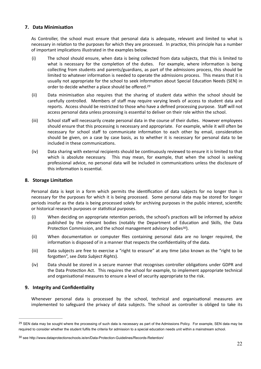#### <span id="page-21-0"></span>**7.** Data Minimisation

As Controller, the school must ensure that personal data is adequate, relevant and limited to what is necessary in relation to the purposes for which they are processed. In practice, this principle has a number of important implications illustrated in the examples below.

- (i) The school should ensure, when data is being collected from data subjects, that this is limited to what is necessary for the completion of the duties. For example, where information is being collecting from students and parents/guardians, as part of the admissions process, this should be limited to whatever information is needed to operate the admissions process. This means that it is usually not appropriate for the school to seek information about Special Education Needs (SEN) in order to decide whether a place should be offered[.29](#page-21-3)
- <span id="page-21-5"></span>(ii) Data minimisation also requires that the sharing of student data within the school should be carefully controlled. Members of staff may require varying levels of access to student data and reports. Access should be restricted to those who have a defined processing purpose. Staff will not access personal data unless processing is essential to deliver on their role within the school.
- (iii) School staff will necessarily create personal data in the course of their duties. However employees should ensure that this processing is necessary and appropriate. For example, while it will often be necessary for school staff to communicate information to each other by email, consideration should be given, on a case by case basis, as to whether it is necessary for personal data to be included in these communications.
- (iv) Data sharing with external recipients should be continuously reviewed to ensure it is limited to that which is absolute necessary. This may mean, for example, that when the school is seeking professional advice, no personal data will be included in communications unless the disclosure of this information is essential.

#### <span id="page-21-1"></span>**8.** Storage Limitation

Personal data is kept in a form which permits the identification of data subjects for no longer than is necessary for the purposes for which it is being processed. Some personal data may be stored for longer periods insofar as the data is being processed solely for archiving purposes in the public interest, scientific or historical research purposes or statistical purposes.

- (i) When deciding on appropriate retention periods, the school's practices will be informed by advice published by the relevant bodies (notably the Department of Education and Skills, the Data Protection Commission, and the school management advisory bodies<sup>[30](#page-21-4)</sup>).
- <span id="page-21-6"></span>(ii) When documentation or computer files containing personal data are no longer required, the information is disposed of in a manner that respects the confidentiality of the data.
- (iii) Data subjects are free to exercise a "right to erasure" at any time (also known as the "right to be forgotten", see *Data Subject Rights*).
- (iv) Data should be stored in a secure manner that recognises controller obligations under GDPR and the Data Protection Act. This requires the school for example, to implement appropriate technical and organisational measures to ensure a level of security appropriate to the risk.

#### <span id="page-21-2"></span>**9.** Integrity and Confidentiality

Whenever personal data is processed by the school, technical and organisational measures are implemented to safeguard the privacy of data subjects. The school as controller is obliged to take its

<span id="page-21-3"></span><sup>&</sup>lt;sup>[29](#page-21-5)</sup> SEN data may be sought where the processing of such data is necessary as part of the Admissions Policy. For example, SEN data may be required to consider whether the student fulfils the criteria for admission to a special education needs unit within a mainstream school.

<span id="page-21-4"></span><sup>30</sup> see<http://www.dataprotectionschools.ie/en/Data-Protection-Guidelines/Records-Retention/>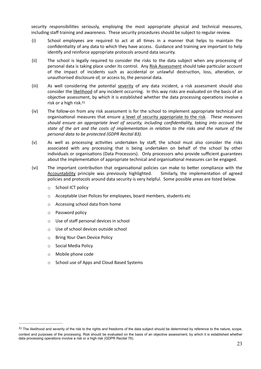security responsibilities seriously, employing the most appropriate physical and technical measures, including staff training and awareness. These security procedures should be subject to regular review.

- (i) School employees are required to act at all 3mes in a manner that helps to maintain the confidentiality of any data to which they have access. Guidance and training are important to help identify and reinforce appropriate protocols around data security.
- (ii) The school is legally required to consider the risks to the data subject when any processing of personal data is taking place under its control. Any Risk Assessment should take particular account of the impact of incidents such as accidental or unlawful destruction, loss, alteration, or unauthorised disclosure of, or access to, the personal data.
- (iii) As well considering the potential severity of any data incident, a risk assessment should also consider the likelihood of any incident occurring. In this way risks are evaluated on the basis of an objective assessment, by which it is established whether the data processing operations involve a risk or a high risk.[31](#page-22-0)
- <span id="page-22-1"></span>(iv) The follow-on from any risk assessment is for the school to implement appropriate technical and organisa3onal measures that ensure a level of security appropriate to the risk. *These measures should ensure an appropriate level of security, including confiden\*ality, taking into account the*  state of the art and the costs of implementation in relation to the risks and the nature of the *personal data to be protected (GDPR Recital 83).*
- $(v)$  As well as processing activities undertaken by staff, the school must also consider the risks associated with any processing that is being undertaken on behalf of the school by other individuals or organisations (Data Processors). Only processors who provide sufficient guarantees about the implementation of appropriate technical and organisational measures can be engaged.
- (vi) The important contribution that organisational policies can make to better compliance with the Accountability principle was previously highlighted. Similarly, the implementation of agreed policies and protocols around data security is very helpful. Some possible areas are listed below.
	- o School ICT policy
	- o Acceptable User Polices for employees, board members, students etc
	- o Accessing school data from home
	- o Password policy
	- o Use of staff personal devices in school
	- o Use of school devices outside school
	- o Bring Your Own Device Policy
	- o Social Media Policy
	- o Mobile phone code
	- o School use of Apps and Cloud Based Systems

<span id="page-22-0"></span><sup>&</sup>lt;sup>[31](#page-22-1)</sup> The likelihood and severity of the risk to the rights and freedoms of the data subject should be determined by reference to the nature, scope, context and purposes of the processing. Risk should be evaluated on the basis of an objective assessment, by which it is established whether data processing operations involve a risk or a high risk (GDPR Recital 76).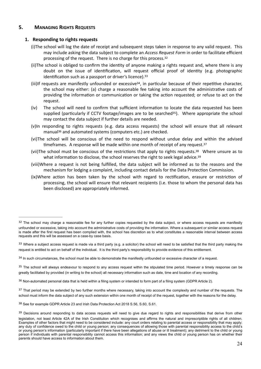#### <span id="page-23-0"></span>**5. MANAGING RIGHTS REQUESTS**

#### **1. Responding to rights requests**

- <span id="page-23-1"></span>(i)The school will log the date of receipt and subsequent steps taken in response to any valid request. This may include asking the data subject to complete an *Access Request Form* in order to facilitate efficient processing of the request. There is no charge for this process.[32](#page-23-2)
- <span id="page-23-10"></span>(ii)The school is obliged to confirm the identity of anyone making a rights request and, where there is any doubt on the issue of identification, will request official proof of identity (e.g. photographic identification such as a passport or driver's licence). [33](#page-23-3)
- <span id="page-23-12"></span><span id="page-23-11"></span>(iii)If requests are manifestly unfounded or excessive<sup>[34](#page-23-4)</sup>, in particular because of their repetitive character, the school may either: (a) charge a reasonable fee taking into account the administrative costs of providing the information or communication or taking the action requested; or refuse to act on the request.
- <span id="page-23-13"></span>(iv) The school will need to confirm that sufficient information to locate the data requested has been supplied (particularly if CCTV footage/images are to be searched<sup>[35](#page-23-5)</sup>). Where appropriate the school may contact the data subject if further details are needed.
- (v)In responding to rights requests (e.g. data access requests) the school will ensure that all relevant manual<sup>[36](#page-23-6)</sup> and automated systems (computers etc.) are checked.
- <span id="page-23-14"></span>(vi)The school will be conscious of the need to respond without undue delay and within the advised timeframes. A response will be made within one month of receipt of any request. $37$
- <span id="page-23-16"></span><span id="page-23-15"></span>(vii)The school must be conscious of the restrictions that apply to rights requests. $38$  Where unsure as to what information to disclose, the school reserves the right to seek legal advice. $39$
- <span id="page-23-17"></span>(viii)Where a request is not being fulfilled, the data subject will be informed as to the reasons and the mechanism for lodging a complaint, including contact details for the Data Protection Commission.
- (ix)Where action has been taken by the school with regard to rectification, erasure or restriction of processing, the school will ensure that relevant recipients (i.e. those to whom the personal data has been disclosed) are appropriately informed.

<span id="page-23-5"></span>[35](#page-23-13) The school will always endeavour to respond to any access request within the stipulated time period. However a timely response can be greatly facilitated by provided (in writing to the school) all necessary information such as date, time and location of any recording.

<span id="page-23-6"></span>[36](#page-23-14) Non-automated personal data that is held within a filing system or intended to form part of a filing system (GDPR Article 2).

<span id="page-23-7"></span> $37$  That period may be extended by two further months where necessary, taking into account the complexity and number of the requests. The school must inform the data subject of any such extension within one month of receipt of the request, together with the reasons for the delay.

<span id="page-23-8"></span><sup>[38](#page-23-16)</sup> See for example GDPR Article 23 and Irish Data Protection Act 2018 S.56, S.60, S.61.

<span id="page-23-2"></span> $32$  The school may charge a reasonable fee for any further copies requested by the data subject, or where access requests are manifestly unfounded or excessive, taking into account the administrative costs of providing the information. Where a subsequent or similar access request is made after the first request has been complied with, the school has discretion as to what constitutes a reasonable interval between access requests and this will be assessed on a case-by case basis.

<span id="page-23-3"></span> $33$  Where a subject access request is made via a third party (e.g. a solicitor) the school will need to be satisfied that the third party making the request is entitled to act on behalf of the individual. It is the third party's responsibility to provide evidence of this entitlement.

<span id="page-23-4"></span><sup>&</sup>lt;sup>[34](#page-23-12)</sup> In such circumstances, the school must be able to demonstrate the manifestly unfounded or excessive character of a request.

<span id="page-23-9"></span>[<sup>39</sup>](#page-23-17) Decisions around responding to data access requests will need to give due regard to rights and responsibilities that derive from other legislation, not least Article 42A of the Irish Constitution which recognises and affirms the natural and imprescriptible rights of all children. Examples of other factors that might need to be considered include: any court orders relating to parental access or responsibility that may apply; any duty of confidence owed to the child or young person; any consequences of allowing those with parental responsibility access to the child's or young person's information (particularly important if there have been allegations of abuse or ill treatment); any detriment to the child or young person if individuals with parental responsibility cannot access this information; and any views the child or young person has on whether their parents should have access to information about them.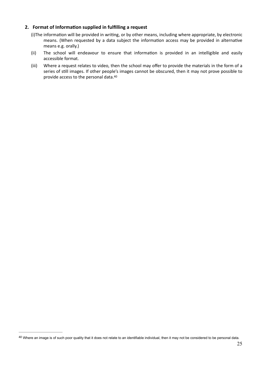#### **2.** Format of Information supplied in fulfilling a request

- <span id="page-24-0"></span>(i)The information will be provided in writing, or by other means, including where appropriate, by electronic means. (When requested by a data subject the information access may be provided in alternative means e.g. orally.)
- (ii) The school will endeavour to ensure that information is provided in an intelligible and easily accessible format.
- <span id="page-24-2"></span>(iii) Where a request relates to video, then the school may offer to provide the materials in the form of a series of still images. If other people's images cannot be obscured, then it may not prove possible to provide access to the personal data. [40](#page-24-1)

<span id="page-24-1"></span>[<sup>40</sup>](#page-24-2) Where an image is of such poor quality that it does not relate to an identifiable individual, then it may not be considered to be personal data.